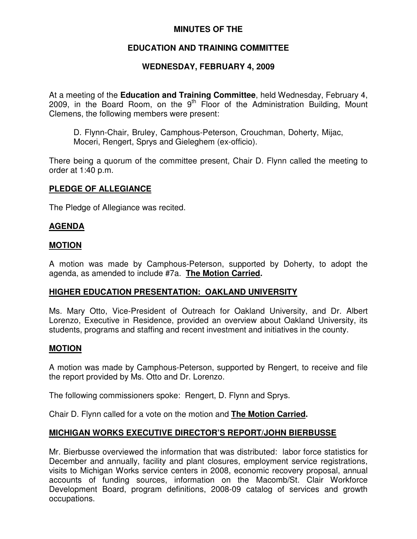# **MINUTES OF THE**

# **EDUCATION AND TRAINING COMMITTEE**

# **WEDNESDAY, FEBRUARY 4, 2009**

At a meeting of the **Education and Training Committee**, held Wednesday, February 4, 2009, in the Board Room, on the 9<sup>th</sup> Floor of the Administration Building, Mount Clemens, the following members were present:

D. Flynn-Chair, Bruley, Camphous-Peterson, Crouchman, Doherty, Mijac, Moceri, Rengert, Sprys and Gieleghem (ex-officio).

There being a quorum of the committee present, Chair D. Flynn called the meeting to order at 1:40 p.m.

#### **PLEDGE OF ALLEGIANCE**

The Pledge of Allegiance was recited.

### **AGENDA**

#### **MOTION**

A motion was made by Camphous-Peterson, supported by Doherty, to adopt the agenda, as amended to include #7a. **The Motion Carried.**

#### **HIGHER EDUCATION PRESENTATION: OAKLAND UNIVERSITY**

Ms. Mary Otto, Vice-President of Outreach for Oakland University, and Dr. Albert Lorenzo, Executive in Residence, provided an overview about Oakland University, its students, programs and staffing and recent investment and initiatives in the county.

#### **MOTION**

A motion was made by Camphous-Peterson, supported by Rengert, to receive and file the report provided by Ms. Otto and Dr. Lorenzo.

The following commissioners spoke: Rengert, D. Flynn and Sprys.

Chair D. Flynn called for a vote on the motion and **The Motion Carried.**

### **MICHIGAN WORKS EXECUTIVE DIRECTOR'S REPORT/JOHN BIERBUSSE**

Mr. Bierbusse overviewed the information that was distributed: labor force statistics for December and annually, facility and plant closures, employment service registrations, visits to Michigan Works service centers in 2008, economic recovery proposal, annual accounts of funding sources, information on the Macomb/St. Clair Workforce Development Board, program definitions, 2008-09 catalog of services and growth occupations.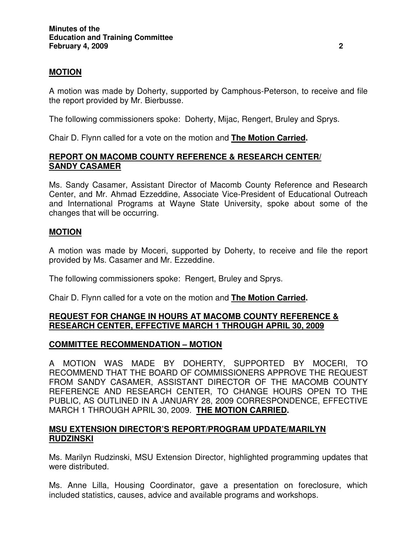## **MOTION**

A motion was made by Doherty, supported by Camphous-Peterson, to receive and file the report provided by Mr. Bierbusse.

The following commissioners spoke: Doherty, Mijac, Rengert, Bruley and Sprys.

Chair D. Flynn called for a vote on the motion and **The Motion Carried.**

## **REPORT ON MACOMB COUNTY REFERENCE & RESEARCH CENTER/ SANDY CASAMER**

Ms. Sandy Casamer, Assistant Director of Macomb County Reference and Research Center, and Mr. Ahmad Ezzeddine, Associate Vice-President of Educational Outreach and International Programs at Wayne State University, spoke about some of the changes that will be occurring.

### **MOTION**

A motion was made by Moceri, supported by Doherty, to receive and file the report provided by Ms. Casamer and Mr. Ezzeddine.

The following commissioners spoke: Rengert, Bruley and Sprys.

Chair D. Flynn called for a vote on the motion and **The Motion Carried.**

### **REQUEST FOR CHANGE IN HOURS AT MACOMB COUNTY REFERENCE & RESEARCH CENTER, EFFECTIVE MARCH 1 THROUGH APRIL 30, 2009**

### **COMMITTEE RECOMMENDATION – MOTION**

A MOTION WAS MADE BY DOHERTY, SUPPORTED BY MOCERI, TO RECOMMEND THAT THE BOARD OF COMMISSIONERS APPROVE THE REQUEST FROM SANDY CASAMER, ASSISTANT DIRECTOR OF THE MACOMB COUNTY REFERENCE AND RESEARCH CENTER, TO CHANGE HOURS OPEN TO THE PUBLIC, AS OUTLINED IN A JANUARY 28, 2009 CORRESPONDENCE, EFFECTIVE MARCH 1 THROUGH APRIL 30, 2009. **THE MOTION CARRIED.**

### **MSU EXTENSION DIRECTOR'S REPORT/PROGRAM UPDATE/MARILYN RUDZINSKI**

Ms. Marilyn Rudzinski, MSU Extension Director, highlighted programming updates that were distributed.

Ms. Anne Lilla, Housing Coordinator, gave a presentation on foreclosure, which included statistics, causes, advice and available programs and workshops.